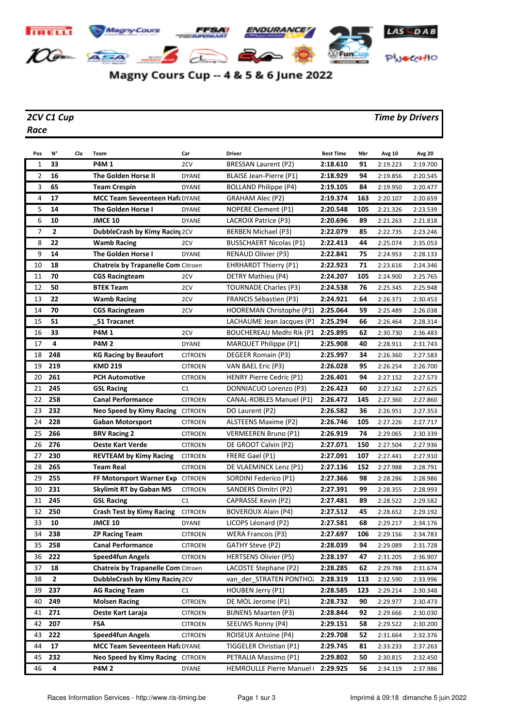

## Magny Cours Cup -- 4 & 5 & 6 June 2022

## *Race*

## *2CV C1 Cup Time by Drivers*

| Pos | N°           | Cla | Team                                      | Car            | <b>Driver</b>                   | <b>Best Time</b> | Nbr | Avg 10   | <b>Avg 20</b> |
|-----|--------------|-----|-------------------------------------------|----------------|---------------------------------|------------------|-----|----------|---------------|
| 1   | 33           |     | <b>P4M1</b>                               | 2CV            | BRESSAN Laurent (P2)            | 2:18.610         | 91  | 2:19.223 | 2:19.700      |
| 2   | 16           |     | The Golden Horse II                       | <b>DYANE</b>   | BLAISE Jean-Pierre (P1)         | 2:18.929         | 94  | 2:19.856 | 2:20.545      |
| 3   | 65           |     | <b>Team Crespin</b>                       | <b>DYANE</b>   | <b>BOLLAND Philippe (P4)</b>    | 2:19.105         | 84  | 2:19.950 | 2:20.477      |
| 4   | 17           |     | <b>MCC Team Seveenteen Haf: DYANE</b>     |                | GRAHAM Alec (P2)                | 2:19.374         | 163 | 2:20.107 | 2:20.659      |
| 5   | 14           |     | The Golden Horse I                        | <b>DYANE</b>   | <b>NOPERE Clement (P1)</b>      | 2:20.548         | 105 | 2:21.326 | 2:23.539      |
| 6   | 10           |     | <b>JMCE 10</b>                            | <b>DYANE</b>   | LACROIX Patrice (P3)            | 2:20.696         | 89  | 2:21.263 | 2:21.818      |
| 7   | $\mathbf{2}$ |     | <b>DubbleCrash by Kimy Racin</b> 2CV      |                | BERBEN Michael (P3)             | 2:22.079         | 85  | 2:22.735 | 2:23.246      |
| 8   | 22           |     | <b>Wamb Racing</b>                        | 2CV            | <b>BUSSCHAERT Nicolas (P1)</b>  | 2:22.413         | 44  | 2:25.074 | 2:35.053      |
| 9   | 14           |     | <b>The Golden Horse I</b>                 | <b>DYANE</b>   | <b>RENAUD Olivier (P3)</b>      | 2:22.841         | 75  | 2:24.953 | 2:28.133      |
| 10  | 18           |     | <b>Chatreix by Trapanelle Com Citroen</b> |                | <b>EHRHARDT Thierry (P1)</b>    | 2:22.923         | 71  | 2:23.616 | 2:24.346      |
| 11  | 70           |     | <b>CGS Racingteam</b>                     | 2CV            | DETRY Mathieu (P4)              | 2:24.207         | 105 | 2:24.900 | 2:25.765      |
| 12  | 50           |     | <b>BTEK Team</b>                          | 2CV            | <b>TOURNADE Charles (P3)</b>    | 2:24.538         | 76  | 2:25.345 | 2:25.948      |
| 13  | 22           |     | <b>Wamb Racing</b>                        | 2CV            | FRANCIS Sébastien (P3)          | 2:24.921         | 64  | 2:26.371 | 2:30.453      |
| 14  | 70           |     | <b>CGS Racingteam</b>                     | 2CV            | HOOREMAN Christophe (P1)        | 2:25.064         | 59  | 2:25.489 | 2:26.038      |
| 15  | 51           |     | 51 Tracanet                               |                | LACHAUME Jean Jacques (P1       | 2:25.294         | 66  | 2:26.464 | 2:28.314      |
| 16  | 33           |     | <b>P4M1</b>                               | 2CV            | <b>BOUCHEREAU Medhi Rik (P1</b> | 2:25.895         | 62  | 2:30.730 | 2:36.483      |
| 17  | 4            |     | <b>P4M2</b>                               | <b>DYANE</b>   | MARQUET Philippe (P1)           | 2:25.908         | 40  | 2:28.911 | 2:31.743      |
| 18  | 248          |     | <b>KG Racing by Beaufort</b>              | CITROEN        | DEGEER Romain (P3)              | 2:25.997         | 34  | 2:26.360 | 2:27.583      |
| 19  | 219          |     | <b>KMD 219</b>                            | CITROEN        | VAN BAEL Eric (P3)              | 2:26.028         | 95  | 2:26.254 | 2:26.700      |
| 20  | 261          |     | <b>PCH Automotive</b>                     | <b>CITROEN</b> | <b>HENRY Pierre Cedric (P1)</b> | 2:26.401         | 94  | 2:27.152 | 2:27.573      |
| 21  | 245          |     | <b>GSL Racing</b>                         | C1             | DONNIACUO Lorenzo (P3)          | 2:26.423         | 60  | 2:27.162 | 2:27.625      |
| 22  | 258          |     | <b>Canal Performance</b>                  | <b>CITROEN</b> | CANAL-ROBLES Manuel (P1)        | 2:26.472         | 145 | 2:27.360 | 2:27.860      |
| 23  | 232          |     | <b>Neo Speed by Kimy Racing CITROEN</b>   |                | DO Laurent (P2)                 | 2:26.582         | 36  | 2:26.951 | 2:27.353      |
| 24  | 228          |     | Gaban Motorsport                          | <b>CITROEN</b> | ALSTEENS Maxime (P2)            | 2:26.746         | 105 | 2:27.226 | 2:27.717      |
| 25  | 266          |     | <b>BRV Racing 2</b>                       | <b>CITROEN</b> | VERMEEREN Bruno (P1)            | 2:26.919         | 74  | 2:29.065 | 2:30.339      |
| 26  | 276          |     | <b>Oeste Kart Verde</b>                   | CITROEN        | DE GROOT Calvin (P2)            | 2:27.071         | 150 | 2:27.504 | 2:27.936      |
| 27  | 230          |     | <b>REVTEAM by Kimy Racing</b>             | <b>CITROEN</b> | FRERE Gael (P1)                 | 2:27.091         | 107 | 2:27.441 | 2:27.910      |
| 28  | 265          |     | <b>Team Real</b>                          | <b>CITROEN</b> | DE VLAEMINCK Lenz (P1)          | 2:27.136         | 152 | 2:27.988 | 2:28.791      |
| 29  | 255          |     | FF Motorsport Warner Exp CITROEN          |                | SORDINI Federico (P1)           | 2:27.366         | 98  | 2:28.286 | 2:28.986      |
| 30  | 231          |     | Skylimit RT by Gaban MS                   | <b>CITROEN</b> | SANDERS Dimitri (P2)            | 2:27.391         | 99  | 2:28.355 | 2:28.993      |
| 31  | 245          |     | <b>GSL Racing</b>                         | C1             | CAPRASSE Kevin (P2)             | 2:27.481         | 89  | 2:28.522 | 2:29.582      |
| 32  | 250          |     | <b>Crash Test by Kimy Racing</b>          | <b>CITROEN</b> | <b>BOVEROUX Alain (P4)</b>      | 2:27.512         | 45  | 2:28.652 | 2:29.192      |
| 33  | 10           |     | <b>JMCE 10</b>                            | <b>DYANE</b>   | LICOPS Léonard (P2)             | 2:27.581         | 68  | 2:29.217 | 2:34.176      |
| 34  | 238          |     | ZP Racing Team                            | <b>CITROEN</b> | <b>WERA Francois (P3)</b>       | 2:27.697         | 106 | 2:29.156 | 2:34.783      |
| 35  | 258          |     | <b>Canal Performance</b>                  | CITROEN        | GATHY Steve (P2)                | 2:28.039         | 94  | 2:29.089 | 2:31.728      |
| 36  | 222          |     | <b>Speed4fun Angels</b>                   | <b>CITROEN</b> | <b>HERTSENS Olivier (P5)</b>    | 2:28.197         | 47  | 2:31.205 | 2:36.907      |
| 37  | 18           |     | <b>Chatreix by Trapanelle Com Citroen</b> |                | LACOSTE Stephane (P2)           | 2:28.285         | 62  | 2:29.788 | 2:31.674      |
| 38  | $\mathbf{2}$ |     | DubbleCrash by Kimy Racin 2CV             |                | van der STRATEN PONTHO.         | 2:28.319         | 113 | 2:32.590 | 2:33.996      |
| 39  | 237          |     | <b>AG Racing Team</b>                     | C1             | HOUBEN Jerry (P1)               | 2:28.585         | 123 | 2:29.214 | 2:30.348      |
| 40  | 249          |     | <b>Molsen Racing</b>                      | <b>CITROEN</b> | DE MOL Jerome (P1)              | 2:28.732         | 90  | 2:29.977 | 2:30.473      |
| 41  | 271          |     | Oeste Kart Laraja                         | CITROEN        | <b>BIJNENS Maarten (P3)</b>     | 2:28.844         | 92  | 2:29.666 | 2:30.030      |
| 42  | 207          |     | <b>FSA</b>                                | <b>CITROEN</b> | SEEUWS Ronny (P4)               | 2:29.151         | 58  | 2:29.522 | 2:30.200      |
| 43  | 222          |     | <b>Speed4fun Angels</b>                   | CITROEN        | ROISEUX Antoine (P4)            | 2:29.708         | 52  | 2:31.664 | 2:32.376      |
| 44  | 17           |     | MCC Team Seveenteen Hafa DYANE            |                | TIGGELER Christian (P1)         | 2:29.745         | 81  | 2:33.233 | 2:37.263      |
| 45  | 232          |     | <b>Neo Speed by Kimy Racing CITROEN</b>   |                | PETRALIA Massimo (P1)           | 2:29.802         | 50  | 2:30.815 | 2:32.450      |
| 46  | 4            |     | <b>P4M2</b>                               | <b>DYANE</b>   | <b>HEMROULLE Pierre Manuel</b>  | 2:29.925         | 56  | 2:34.119 | 2:37.986      |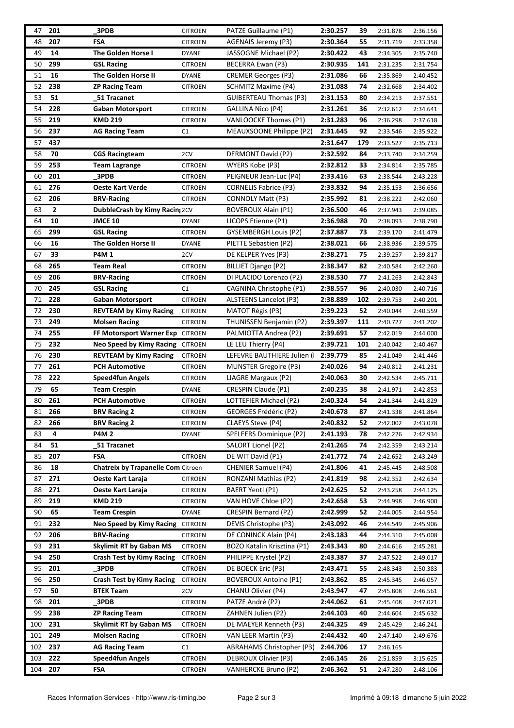| 47  | 201          | 3PDB                                      | <b>CITROEN</b> | PATZE Guillaume (P1)           | 2:30.257 | 39  | 2:31.878 | 2:36.156 |
|-----|--------------|-------------------------------------------|----------------|--------------------------------|----------|-----|----------|----------|
| 48  | 207          | FSA                                       | <b>CITROEN</b> | AGENAIS Jeremy (P3)            | 2:30.364 | 55  | 2:31.719 | 2:33.358 |
| 49  | 14           | The Golden Horse I                        | <b>DYANE</b>   | JASSOGNE Michael (P2)          | 2:30.422 | 43  | 2:34.305 | 2:35.740 |
| 50  | 299          | <b>GSL Racing</b>                         | <b>CITROEN</b> | BECERRA Ewan (P3)              | 2:30.935 | 141 | 2:31.235 | 2:31.754 |
| 51  | 16           | The Golden Horse II                       | DYANE          | <b>CREMER Georges (P3)</b>     | 2:31.086 | 66  | 2:35.869 | 2:40.452 |
| 52  | 238          | <b>ZP Racing Team</b>                     | <b>CITROEN</b> | <b>SCHMITZ Maxime (P4)</b>     | 2:31.088 | 74  | 2:32.668 | 2:34.402 |
| 53  | 51           | 51 Tracanet                               |                | <b>GUIBERTEAU Thomas (P3)</b>  | 2:31.153 | 80  | 2:34.213 | 2:37.551 |
| 54  | 228          | <b>Gaban Motorsport</b>                   | <b>CITROEN</b> | GALLINA Nico (P4)              | 2:31.261 | 36  | 2:32.612 | 2:34.641 |
| 55  | 219          | <b>KMD 219</b>                            | <b>CITROEN</b> | VANLOOCKE Thomas (P1)          | 2:31.283 | 96  | 2:36.298 | 2:37.618 |
| 56  | 237          | <b>AG Racing Team</b>                     | C1             | MEAUXSOONE Philippe (P2)       | 2:31.645 | 92  | 2:33.546 | 2:35.922 |
| 57  | 437          |                                           |                |                                | 2:31.647 | 179 | 2:33.527 | 2:35.713 |
| 58  | 70           | <b>CGS Racingteam</b>                     | 2CV            | DERMONT David (P2)             | 2:32.592 | 84  | 2:33.740 | 2:34.259 |
| 59  | 253          | Team Lagrange                             | <b>CITROEN</b> | WYERS Kobe (P3)                | 2:32.812 | 33  | 2:34.814 | 2:35.785 |
| 60  | 201          | 3PDB                                      | <b>CITROEN</b> | PEIGNEUR Jean-Luc (P4)         | 2:33.416 | 63  | 2:38.544 | 2:43.228 |
| 61  | 276          | <b>Oeste Kart Verde</b>                   | <b>CITROEN</b> | <b>CORNELIS Fabrice (P3)</b>   | 2:33.832 | 94  | 2:35.153 | 2:36.656 |
| 62  | 206          | <b>BRV-Racing</b>                         | <b>CITROEN</b> | CONNOLY Matt (P3)              | 2:35.992 | 81  | 2:38.222 | 2:42.060 |
| 63  | $\mathbf{2}$ | DubbleCrash by Kimy Racin 2CV             |                | <b>BOVEROUX Alain (P1)</b>     | 2:36.500 | 46  | 2:37.943 | 2:39.085 |
| 64  | 10           | <b>JMCE 10</b>                            | <b>DYANE</b>   | LICOPS Etienne (P1)            | 2:36.988 | 70  | 2:38.093 | 2:38.790 |
| 65  | 299          | <b>GSL Racing</b>                         | <b>CITROEN</b> | <b>GYSEMBERGH Louis (P2)</b>   | 2:37.887 | 73  | 2:39.170 | 2:41.479 |
| 66  | 16           | The Golden Horse II                       | <b>DYANE</b>   | PIETTE Sebastien (P2)          | 2:38.021 | 66  | 2:38.936 | 2:39.575 |
| 67  | 33           | <b>P4M1</b>                               | 2CV            | DE KELPER Yves (P3)            | 2:38.271 | 75  | 2:39.257 | 2:39.817 |
| 68  | 265          | <b>Team Real</b>                          | <b>CITROEN</b> | BILLIET Django (P2)            | 2:38.347 | 82  | 2:40.584 | 2:42.260 |
| 69  | 206          | <b>BRV-Racing</b>                         | <b>CITROEN</b> | DI PLACIDO Lorenzo (P2)        | 2:38.530 | 77  | 2:41.263 | 2:42.843 |
| 70  | 245          | <b>GSL Racing</b>                         | C1             | CAGNINA Christophe (P1)        | 2:38.557 | 96  | 2:40.030 | 2:40.716 |
| 71  | 228          | Gaban Motorsport                          | <b>CITROEN</b> | ALSTEENS Lancelot (P3)         | 2:38.889 | 102 | 2:39.753 | 2:40.201 |
| 72  | 230          | <b>REVTEAM by Kimy Racing</b>             | <b>CITROEN</b> | MATOT Régis (P3)               | 2:39.223 | 52  | 2:40.044 | 2:40.559 |
| 73  | 249          | <b>Molsen Racing</b>                      | <b>CITROEN</b> | <b>THUNISSEN Benjamin (P2)</b> | 2:39.397 | 111 | 2:40.727 | 2:41.202 |
| 74  | 255          | FF Motorsport Warner Exp CITROEN          |                | PALMIOTTA Andrea (P2)          | 2:39.691 | 57  | 2:42.019 | 2:44.000 |
| 75  | 232          | Neo Speed by Kimy Racing CITROEN          |                | LE LEU Thierry (P4)            | 2:39.721 | 101 | 2:40.042 | 2:40.467 |
| 76  | 230          | <b>REVTEAM by Kimy Racing</b>             | <b>CITROEN</b> | LEFEVRE BAUTHIERE Julien (     | 2:39.779 | 85  | 2:41.049 | 2:41.446 |
| 77  | 261          | <b>PCH Automotive</b>                     | <b>CITROEN</b> | MUNSTER Gregoire (P3)          | 2:40.026 | 94  | 2:40.812 | 2:41.231 |
| 78  | 222          | <b>Speed4fun Angels</b>                   | <b>CITROEN</b> | LIAGRE Margaux (P2)            | 2:40.063 | 30  | 2:42.534 | 2:45.711 |
| 79  | 65           | <b>Team Crespin</b>                       | <b>DYANE</b>   | <b>CRESPIN Claude (P1)</b>     | 2:40.235 | 38  | 2:41.971 | 2:42.853 |
| 80  | 261          | <b>PCH Automotive</b>                     | <b>CITROEN</b> | LOTTEFIER Michael (P2)         | 2:40.324 | 54  | 2:41.344 | 2:41.829 |
| 81  | 266          | <b>BRV Racing 2</b>                       | <b>CITROEN</b> | GEORGES Frédéric (P2)          | 2:40.678 | 87  | 2:41.338 | 2:41.864 |
| 82  | 266          | <b>BRV Racing 2</b>                       | <b>CITROEN</b> | CLAEYS Steve (P4)              | 2:40.832 | 52  | 2:42.002 | 2:43.078 |
| 83  | 4            | <b>P4M2</b>                               | <b>DYANE</b>   | SPELEERS Dominique (P2)        | 2:41.193 | 78  | 2:42.226 | 2:42.934 |
| 84  | 51           | 51 Tracanet                               |                | SALORT Lionel (P2)             | 2:41.265 | 74  | 2:42.359 | 2:43.214 |
| 85  | 207          | <b>FSA</b>                                | <b>CITROEN</b> | DE WIT David (P1)              | 2:41.772 | 74  | 2:42.652 | 2:43.249 |
| 86  | 18           | <b>Chatreix by Trapanelle Com Citroen</b> |                | <b>CHENIER Samuel (P4)</b>     | 2:41.806 | 41  | 2:45.445 | 2:48.508 |
| 87  | 271          | Oeste Kart Laraja                         | <b>CITROEN</b> | RONZANI Mathias (P2)           | 2:41.819 | 98  | 2:42.352 | 2:42.634 |
| 88  | 271          | Oeste Kart Laraja                         | <b>CITROEN</b> | BAERT Yentl (P1)               | 2:42.625 | 52  | 2:43.258 | 2:44.125 |
| 89  | 219          | <b>KMD 219</b>                            | <b>CITROEN</b> | VAN HOVE Chloe (P2)            | 2:42.658 | 53  | 2:44.998 | 2:46.900 |
| 90  | 65           | <b>Team Crespin</b>                       | <b>DYANE</b>   | <b>CRESPIN Bernard (P2)</b>    | 2:42.999 | 52  | 2:44.005 | 2:44.954 |
| 91  | 232          | Neo Speed by Kimy Racing CITROEN          |                | DEVIS Christophe (P3)          | 2:43.092 | 46  | 2:44.549 | 2:45.906 |
| 92  | 206          | <b>BRV-Racing</b>                         | <b>CITROEN</b> | DE CONINCK Alain (P4)          | 2:43.183 | 44  | 2:44.310 | 2:45.008 |
| 93  | 231          | <b>Skylimit RT by Gaban MS</b>            | <b>CITROEN</b> | BOZO Katalin Krisztina (P1)    | 2:43.343 | 80  | 2:44.616 | 2:45.281 |
| 94  | 250          | <b>Crash Test by Kimy Racing</b>          | <b>CITROEN</b> | PHILIPPE Krystel (P2)          | 2:43.387 | 37  | 2:47.522 | 2:49.017 |
| 95  | 201          | 3PDB                                      | <b>CITROEN</b> | DE BOECK Eric (P3)             | 2:43.471 | 55  | 2:48.343 | 2:50.383 |
| 96  | 250          | <b>Crash Test by Kimy Racing</b>          | <b>CITROEN</b> | <b>BOVEROUX Antoine (P1)</b>   | 2:43.862 | 85  | 2:45.345 | 2:46.057 |
| 97  | 50           | <b>BTEK Team</b>                          | 2CV            | CHANU Olivier (P4)             | 2:43.947 | 47  | 2:45.808 | 2:46.561 |
| 98  | 201          | 3PDB                                      | <b>CITROEN</b> | PATZE André (P2)               | 2:44.062 | 61  | 2:45.408 | 2:47.021 |
| 99  | 238          | <b>ZP Racing Team</b>                     | <b>CITROEN</b> | ZAHNEN Julien (P2)             | 2:44.103 | 40  | 2:44.604 | 2:45.632 |
| 100 | 231          | <b>Skylimit RT by Gaban MS</b>            | <b>CITROEN</b> | DE MAEYER Kenneth (P3)         | 2:44.325 | 49  | 2:45.429 | 2:46.241 |
| 101 | 249          | <b>Molsen Racing</b>                      | <b>CITROEN</b> | VAN LEER Martin (P3)           | 2:44.432 | 40  | 2:47.140 | 2:49.676 |
| 102 | 237          | <b>AG Racing Team</b>                     | C1             | ABRAHAMS Christopher (P3)      | 2:44.706 | 17  | 2:46.165 |          |
| 103 | 222          | <b>Speed4fun Angels</b>                   | <b>CITROEN</b> | DEBROUX Olivier (P3)           | 2:46.145 | 26  | 2:51.859 | 3:15.625 |
| 104 | 207          | FSA                                       | <b>CITROEN</b> | <b>VANHERCKE Bruno (P2)</b>    | 2:46.362 | 51  | 2:47.280 | 2:48.106 |